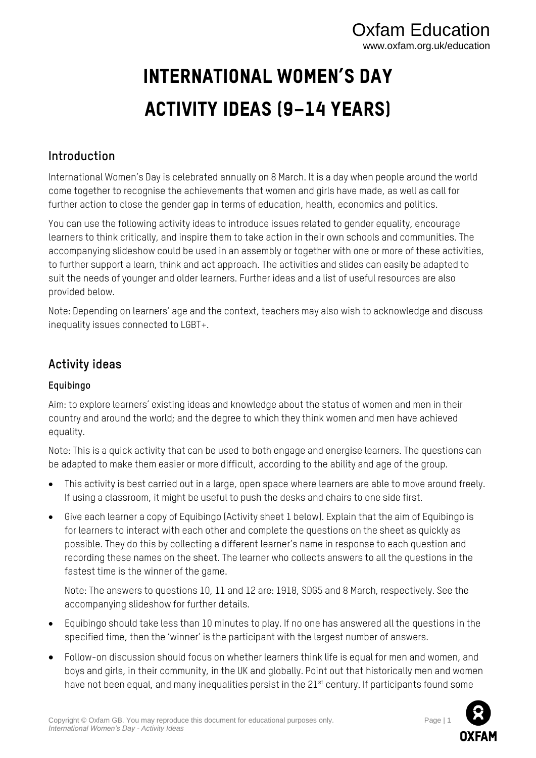# Oxfam Education www.oxfam.org.uk/education

# International Women's Day Activity Ideas (9–14 years)

# **Introduction**

International Women's Day is celebrated annually on 8 March. It is a day when people around the world come together to recognise the achievements that women and girls have made, as well as call for further action to close the gender gap in terms of education, health, economics and politics.

You can use the following activity ideas to introduce issues related to gender equality, encourage learners to think critically, and inspire them to take action in their own schools and communities. The accompanying slideshow could be used in an assembly or together with one or more of these activities, to further support a learn, think and act approach. The activities and slides can easily be adapted to suit the needs of younger and older learners. Further ideas and a list of useful resources are also provided below.

Note: Depending on learners' age and the context, teachers may also wish to acknowledge and discuss inequality issues connected to LGBT+.

# **Activity ideas**

#### **Equibingo**

Aim: to explore learners' existing ideas and knowledge about the status of women and men in their country and around the world; and the degree to which they think women and men have achieved equality.

Note: This is a quick activity that can be used to both engage and energise learners. The questions can be adapted to make them easier or more difficult, according to the ability and age of the group.

- This activity is best carried out in a large, open space where learners are able to move around freely. If using a classroom, it might be useful to push the desks and chairs to one side first.
- Give each learner a copy of Equibingo (Activity sheet 1 below). Explain that the aim of Equibingo is for learners to interact with each other and complete the questions on the sheet as quickly as possible. They do this by collecting a different learner's name in response to each question and recording these names on the sheet. The learner who collects answers to all the questions in the fastest time is the winner of the game.

Note: The answers to questions 10, 11 and 12 are: 1918, SDG5 and 8 March, respectively. See the accompanying slideshow for further details.

- Equibingo should take less than 10 minutes to play. If no one has answered all the questions in the specified time, then the 'winner' is the participant with the largest number of answers.
- Follow-on discussion should focus on whether learners think life is equal for men and women, and boys and girls, in their community, in the UK and globally. Point out that historically men and women have not been equal, and many inequalities persist in the 21<sup>st</sup> century. If participants found some

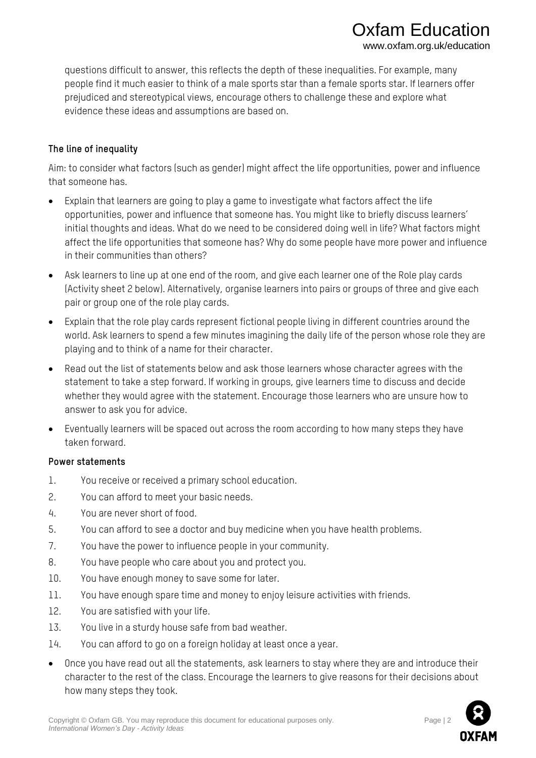questions difficult to answer, this reflects the depth of these inequalities. For example, many people find it much easier to think of a male sports star than a female sports star. If learners offer prejudiced and stereotypical views, encourage others to challenge these and explore what evidence these ideas and assumptions are based on.

#### **The line of inequality**

Aim: to consider what factors (such as gender) might affect the life opportunities, power and influence that someone has.

- Explain that learners are going to play a game to investigate what factors affect the life opportunities, power and influence that someone has. You might like to briefly discuss learners' initial thoughts and ideas. What do we need to be considered doing well in life? What factors might affect the life opportunities that someone has? Why do some people have more power and influence in their communities than others?
- Ask learners to line up at one end of the room, and give each learner one of the Role play cards (Activity sheet 2 below). Alternatively, organise learners into pairs or groups of three and give each pair or group one of the role play cards.
- Explain that the role play cards represent fictional people living in different countries around the world. Ask learners to spend a few minutes imagining the daily life of the person whose role they are playing and to think of a name for their character.
- Read out the list of statements below and ask those learners whose character agrees with the statement to take a step forward. If working in groups, give learners time to discuss and decide whether they would agree with the statement. Encourage those learners who are unsure how to answer to ask you for advice.
- Eventually learners will be spaced out across the room according to how many steps they have taken forward.

#### **Power statements**

- 1. You receive or received a primary school education.
- 2. You can afford to meet your basic needs.
- 4. You are never short of food.
- 5. You can afford to see a doctor and buy medicine when you have health problems.
- 7. You have the power to influence people in your community.
- 8. You have people who care about you and protect you.
- 10. You have enough money to save some for later.
- 11. You have enough spare time and money to enjoy leisure activities with friends.
- 12. You are satisfied with your life.
- 13. You live in a sturdy house safe from bad weather.
- 14. You can afford to go on a foreign holiday at least once a year.
- Once you have read out all the statements, ask learners to stay where they are and introduce their character to the rest of the class. Encourage the learners to give reasons for their decisions about how many steps they took.



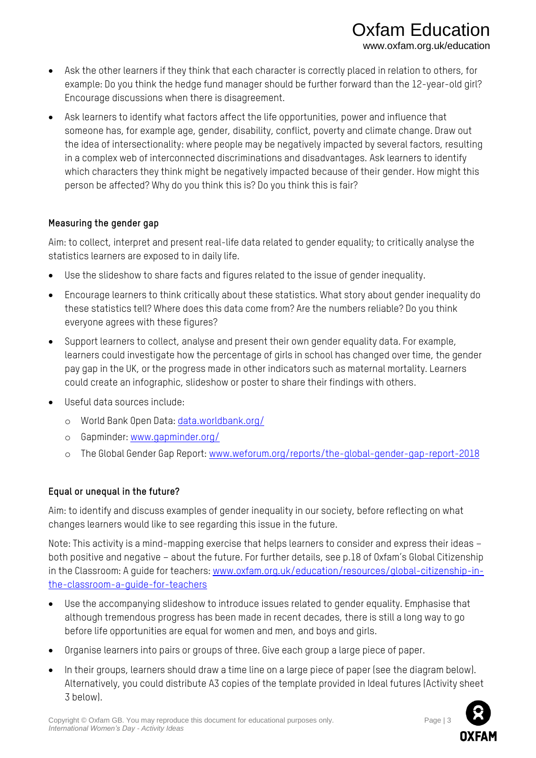- Ask the other learners if they think that each character is correctly placed in relation to others, for example: Do you think the hedge fund manager should be further forward than the 12-year-old girl? Encourage discussions when there is disagreement.
- Ask learners to identify what factors affect the life opportunities, power and influence that someone has, for example age, gender, disability, conflict, poverty and climate change. Draw out the idea of intersectionality: where people may be negatively impacted by several factors, resulting in a complex web of interconnected discriminations and disadvantages. Ask learners to identify which characters they think might be negatively impacted because of their gender. How might this person be affected? Why do you think this is? Do you think this is fair?

#### **Measuring the gender gap**

Aim: to collect, interpret and present real-life data related to gender equality; to critically analyse the statistics learners are exposed to in daily life.

- Use the slideshow to share facts and figures related to the issue of gender inequality.
- Encourage learners to think critically about these statistics. What story about gender inequality do these statistics tell? Where does this data come from? Are the numbers reliable? Do you think everyone agrees with these figures?
- Support learners to collect, analyse and present their own gender equality data. For example, learners could investigate how the percentage of girls in school has changed over time, the gender pay gap in the UK, or the progress made in other indicators such as maternal mortality. Learners could create an infographic, slideshow or poster to share their findings with others.
- Useful data sources include:
	- o World Bank Open Data[: data.worldbank.org/](https://data.worldbank.org/)
	- o Gapminder: [www.gapminder.org/](http://www.gapminder.org/)
	- o The Global Gender Gap Report: [www.weforum.org/reports/the-global-gender-gap-report-2018](http://www.weforum.org/reports/the-global-gender-gap-report-2018)

### **Equal or unequal in the future?**

Aim: to identify and discuss examples of gender inequality in our society, before reflecting on what changes learners would like to see regarding this issue in the future.

Note: This activity is a mind-mapping exercise that helps learners to consider and express their ideas – both positive and negative – about the future. For further details, see p.18 of Oxfam's Global Citizenship in the Classroom: A guide for teachers: [www.oxfam.org.uk/education/resources/global-citizenship-in](http://www.oxfam.org.uk/education/resources/global-citizenship-in-the-classroom-a-guide-for-teachers)[the-classroom-a-guide-for-teachers](http://www.oxfam.org.uk/education/resources/global-citizenship-in-the-classroom-a-guide-for-teachers)

- Use the accompanying slideshow to introduce issues related to gender equality. Emphasise that although tremendous progress has been made in recent decades, there is still a long way to go before life opportunities are equal for women and men, and boys and girls.
- Organise learners into pairs or groups of three. Give each group a large piece of paper.
- In their groups, learners should draw a time line on a large piece of paper (see the diagram below). Alternatively, you could distribute A3 copies of the template provided in Ideal futures (Activity sheet 3 below).

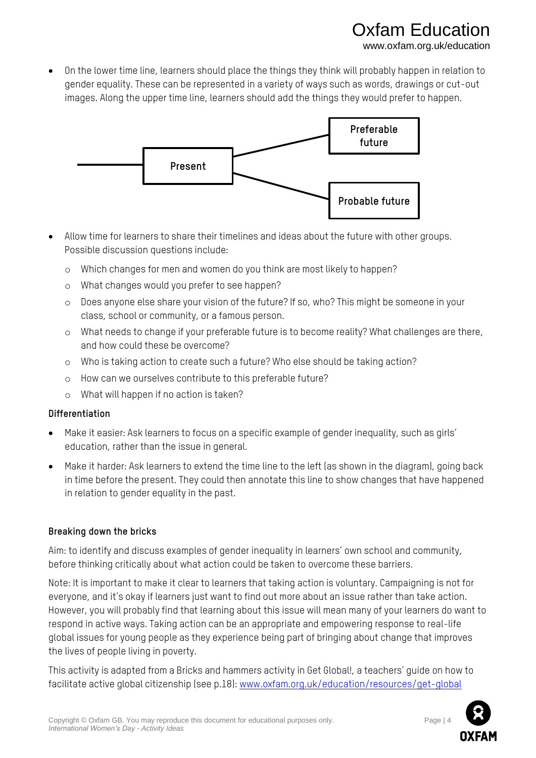### fam Educati www.oxfam.org.uk/education

• On the lower time line, learners should place the things they think will probably happen in relation to gender equality. These can be represented in a variety of ways such as words, drawings or cut-out images. Along the upper time line, learners should add the things they would prefer to happen.



- Allow time for learners to share their timelines and ideas about the future with other groups. Possible discussion questions include:
	- o Which changes for men and women do you think are most likely to happen?
	- o What changes would you prefer to see happen?
	- o Does anyone else share your vision of the future? If so, who? This might be someone in your class, school or community, or a famous person.
	- o What needs to change if your preferable future is to become reality? What challenges are there, and how could these be overcome?
	- o Who is taking action to create such a future? Who else should be taking action?
	- o How can we ourselves contribute to this preferable future?
	- o What will happen if no action is taken?

#### **Differentiation**

- Make it easier: Ask learners to focus on a specific example of gender inequality, such as girls' education, rather than the issue in general.
- Make it harder: Ask learners to extend the time line to the left (as shown in the diagram), going back in time before the present. They could then annotate this line to show changes that have happened in relation to gender equality in the past.

#### **Breaking down the bricks**

Aim: to identify and discuss examples of gender inequality in learners' own school and community, before thinking critically about what action could be taken to overcome these barriers.

Note: It is important to make it clear to learners that taking action is voluntary. Campaigning is not for everyone, and it's okay if learners just want to find out more about an issue rather than take action. However, you will probably find that learning about this issue will mean many of your learners do want to respond in active ways. Taking action can be an appropriate and empowering response to real-life global issues for young people as they experience being part of bringing about change that improves the lives of people living in poverty.

This activity is adapted from a Bricks and hammers activity in Get Global!, a teachers' guide on how to facilitate active global citizenship (see p.18): [www.oxfam.org.uk/education/resources/get-global](http://www.oxfam.org.uk/education/resources/get-global)

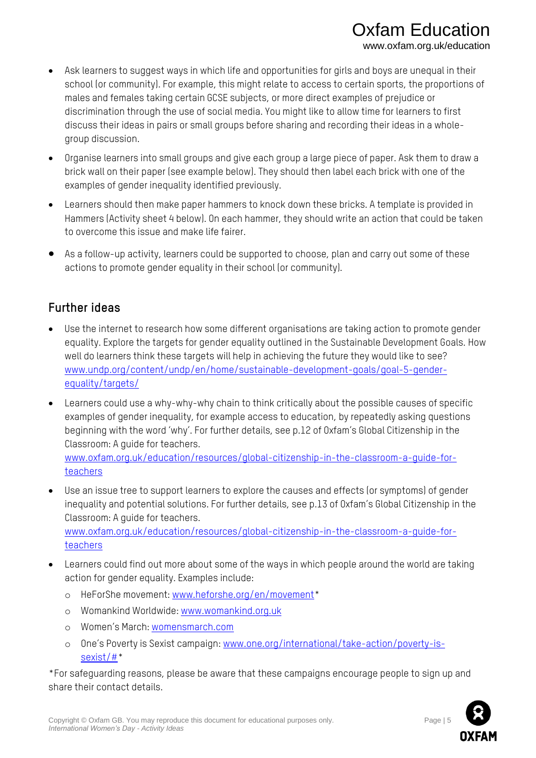- Ask learners to suggest ways in which life and opportunities for girls and boys are unequal in their school (or community). For example, this might relate to access to certain sports, the proportions of males and females taking certain GCSE subjects, or more direct examples of prejudice or discrimination through the use of social media. You might like to allow time for learners to first discuss their ideas in pairs or small groups before sharing and recording their ideas in a wholegroup discussion.
- Organise learners into small groups and give each group a large piece of paper. Ask them to draw a brick wall on their paper (see example below). They should then label each brick with one of the examples of gender inequality identified previously.
- Learners should then make paper hammers to knock down these bricks. A template is provided in Hammers (Activity sheet 4 below). On each hammer, they should write an action that could be taken to overcome this issue and make life fairer.
- As a follow-up activity, learners could be supported to choose, plan and carry out some of these actions to promote gender equality in their school (or community).

# **Further ideas**

- Use the internet to research how some different organisations are taking action to promote gender equality. Explore the targets for gender equality outlined in the Sustainable Development Goals. How well do learners think these targets will help in achieving the future they would like to see? [www.undp.org/content/undp/en/home/sustainable-development-goals/goal-5-gender](http://www.undp.org/content/undp/en/home/sustainable-development-goals/goal-5-gender-equality/targets/)[equality/targets/](http://www.undp.org/content/undp/en/home/sustainable-development-goals/goal-5-gender-equality/targets/)
- Learners could use a why-why-why chain to think critically about the possible causes of specific examples of gender inequality, for example access to education, by repeatedly asking questions beginning with the word 'why'. For further details, see p.12 of Oxfam's Global Citizenship in the Classroom: A guide for teachers.

[www.oxfam.org.uk/education/resources/global-citizenship-in-the-classroom-a-guide-for](http://www.oxfam.org.uk/education/resources/global-citizenship-in-the-classroom-a-guide-for-teachers)[teachers](http://www.oxfam.org.uk/education/resources/global-citizenship-in-the-classroom-a-guide-for-teachers)

- Use an issue tree to support learners to explore the causes and effects (or symptoms) of gender inequality and potential solutions. For further details, see p.13 of Oxfam's Global Citizenship in the Classroom: A guide for teachers. [www.oxfam.org.uk/education/resources/global-citizenship-in-the-classroom-a-guide-for-](http://www.oxfam.org.uk/education/resources/global-citizenship-in-the-classroom-a-guide-for-teachers)
- [teachers](http://www.oxfam.org.uk/education/resources/global-citizenship-in-the-classroom-a-guide-for-teachers) • Learners could find out more about some of the ways in which people around the world are taking
	- action for gender equality. Examples include:
		- o HeForShe movement: [www.heforshe.org/en/movement\\*](http://www.heforshe.org/en/movement)
		- o Womankind Worldwide: [www.womankind.org.uk](http://www.womankind.org.uk/)
		- o Women's March[: womensmarch.com](https://womensmarch.com/)
		- o One's Poverty is Sexist campaign[: www.one.org/international/take-action/poverty-is](http://www.one.org/international/take-action/poverty-is-sexist/)[sexist/#\\*](http://www.one.org/international/take-action/poverty-is-sexist/)

\*For safeguarding reasons, please be aware that these campaigns encourage people to sign up and share their contact details.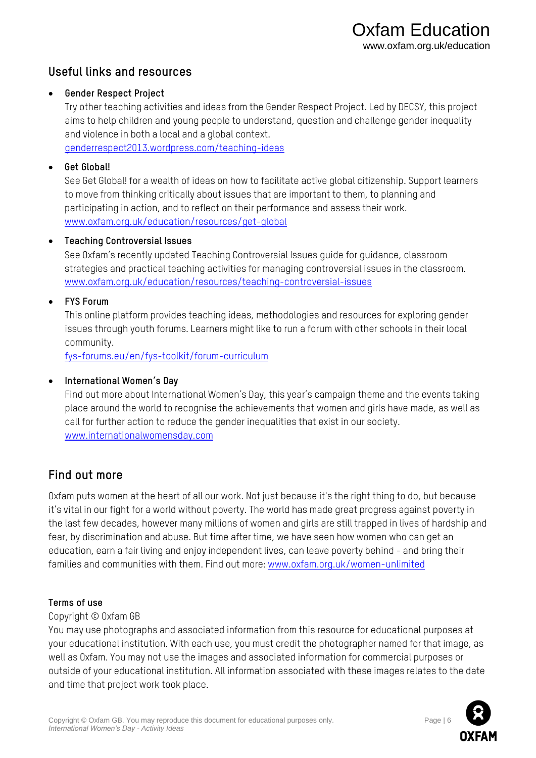### **Useful links and resources**

#### • **Gender Respect Project**

Try other teaching activities and ideas from the Gender Respect Project. Led by DECSY, this project aims to help children and young people to understand, question and challenge gender inequality and violence in both a local and a global context.

[genderrespect2013.wordpress.com/teaching-ideas](https://genderrespect2013.wordpress.com/teaching-ideas/)

#### • **Get Global!**

See Get Global! for a wealth of ideas on how to facilitate active global citizenship. Support learners to move from thinking critically about issues that are important to them, to planning and participating in action, and to reflect on their performance and assess their work. [www.oxfam.org.uk/education/resources/get-global](http://www.oxfam.org.uk/education/resources/get-global)

#### • **Teaching Controversial Issues**

See Oxfam's recently updated Teaching Controversial Issues guide for guidance, classroom strategies and practical teaching activities for managing controversial issues in the classroom. [www.oxfam.org.uk/education/resources/teaching-controversial-issues](http://www.oxfam.org.uk/education/resources/teaching-controversial-issues)

#### • **FYS Forum**

This online platform provides teaching ideas, methodologies and resources for exploring gender issues through youth forums. Learners might like to run a forum with other schools in their local community.

[fys-forums.eu/en/fys-toolkit/forum-curriculum](http://fys-forums.eu/en/fys-toolkit/forum-curriculum)

#### • **International Women's Day**

Find out more about International Women's Day, this year's campaign theme and the events taking place around the world to recognise the achievements that women and girls have made, as well as call for further action to reduce the gender inequalities that exist in our society. [www.internationalwomensday.com](http://www.internationalwomensday.com/)

# **Find out more**

Oxfam puts women at the heart of all our work. Not just because it's the right thing to do, but because it's vital in our fight for a world without poverty. The world has made great progress against poverty in the last few decades, however many millions of women and girls are still trapped in lives of hardship and fear, by discrimination and abuse. But time after time, we have seen how women who can get an education, earn a fair living and enjoy independent lives, can leave poverty behind - and bring their families and communities with them. Find out more[: www.oxfam.org.uk/women-unlimited](http://www.oxfam.org.uk/women-unlimited)

#### **Terms of use**

#### Copyright © Oxfam GB

You may use photographs and associated information from this resource for educational purposes at your educational institution. With each use, you must credit the photographer named for that image, as well as Oxfam. You may not use the images and associated information for commercial purposes or outside of your educational institution. All information associated with these images relates to the date and time that project work took place.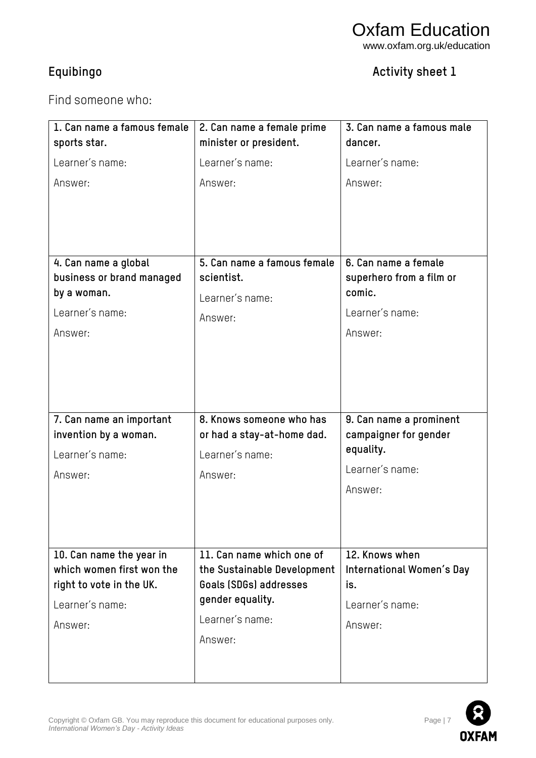# **Equibingo Activity sheet 1**

Find someone who:

| 1. Can name a famous female                                                                                                                  | 2. Can name a female prime                                                                                                           | 3. Can name a famous male<br>dancer.                                                                                   |
|----------------------------------------------------------------------------------------------------------------------------------------------|--------------------------------------------------------------------------------------------------------------------------------------|------------------------------------------------------------------------------------------------------------------------|
| sports star.<br>Learner's name:<br>Answer:<br>4. Can name a global<br>business or brand managed<br>by a woman.<br>Learner's name:<br>Answer: | minister or president.<br>Learner's name:<br>Answer:<br>5. Can name a famous female<br>scientist.<br>Learner's name:<br>Answer:      | Learner's name:<br>Answer:<br>6. Can name a female<br>superhero from a film or<br>comic.<br>Learner's name:<br>Answer: |
| 7. Can name an important<br>invention by a woman.<br>Learner's name:<br>Answer:                                                              | 8. Knows someone who has<br>or had a stay-at-home dad.<br>Learner's name:<br>Answer:                                                 | 9. Can name a prominent<br>campaigner for gender<br>equality.<br>Learner's name:<br>Answer:                            |
| 10. Can name the year in<br>which women first won the<br>right to vote in the UK.<br>Learner's name:<br>Answer:                              | 11. Can name which one of<br>the Sustainable Development<br>Goals (SDGs) addresses<br>gender equality.<br>Learner's name:<br>Answer: | 12. Knows when<br>International Women's Day<br>is.<br>Learner's name:<br>Answer:                                       |

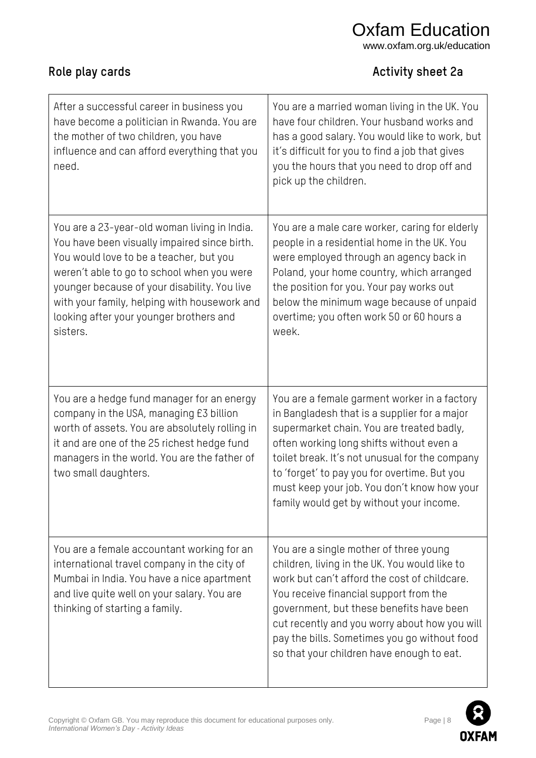# Oxfam Education

www.oxfam.org.uk/education

# **Role play cards Activity sheet 2a**

| After a successful career in business you<br>have become a politician in Rwanda. You are<br>the mother of two children, you have<br>influence and can afford everything that you<br>need.                                                                                                                                                    | You are a married woman living in the UK. You<br>have four children. Your husband works and<br>has a good salary. You would like to work, but<br>it's difficult for you to find a job that gives<br>you the hours that you need to drop off and<br>pick up the children.                                                                                                           |
|----------------------------------------------------------------------------------------------------------------------------------------------------------------------------------------------------------------------------------------------------------------------------------------------------------------------------------------------|------------------------------------------------------------------------------------------------------------------------------------------------------------------------------------------------------------------------------------------------------------------------------------------------------------------------------------------------------------------------------------|
| You are a 23-year-old woman living in India.<br>You have been visually impaired since birth.<br>You would love to be a teacher, but you<br>weren't able to go to school when you were<br>younger because of your disability. You live<br>with your family, helping with housework and<br>looking after your younger brothers and<br>sisters. | You are a male care worker, caring for elderly<br>people in a residential home in the UK. You<br>were employed through an agency back in<br>Poland, your home country, which arranged<br>the position for you. Your pay works out<br>below the minimum wage because of unpaid<br>overtime; you often work 50 or 60 hours a<br>week.                                                |
| You are a hedge fund manager for an energy<br>company in the USA, managing £3 billion<br>worth of assets. You are absolutely rolling in<br>it and are one of the 25 richest hedge fund<br>managers in the world. You are the father of<br>two small daughters.                                                                               | You are a female garment worker in a factory<br>in Bangladesh that is a supplier for a major<br>supermarket chain. You are treated badly,<br>often working long shifts without even a<br>toilet break. It's not unusual for the company<br>to 'forget' to pay you for overtime. But you<br>must keep your job. You don't know how your<br>family would get by without your income. |
| You are a female accountant working for an<br>international travel company in the city of<br>Mumbai in India. You have a nice apartment<br>and live quite well on your salary. You are<br>thinking of starting a family.                                                                                                                     | You are a single mother of three young<br>children, living in the UK. You would like to<br>work but can't afford the cost of childcare.<br>You receive financial support from the<br>government, but these benefits have been<br>cut recently and you worry about how you will<br>pay the bills. Sometimes you go without food<br>so that your children have enough to eat.        |

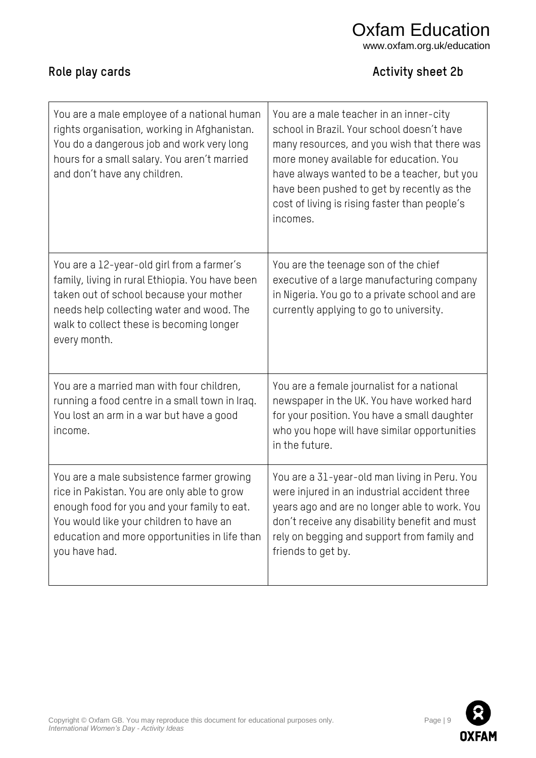#### Copyright © Oxfam GB. You may reproduce this document for educational purposes only. Page | 9 Page | 9 *International Women's Day - Activity Ideas*

You would like your children to have an

you have had.

education and more opportunities in life than

| for educational purposes only. |
|--------------------------------|
|                                |

friends to get by.

don't receive any disability benefit and must rely on begging and support from family and

| You are a male employee of a national human<br>rights organisation, working in Afghanistan.<br>You do a dangerous job and work very long<br>hours for a small salary. You aren't married<br>and don't have any children.                          | You are a male teacher in an inner-city<br>school in Brazil. Your school doesn't have<br>many resources, and you wish that there was<br>more money available for education. You<br>have always wanted to be a teacher, but you<br>have been pushed to get by recently as the<br>cost of living is rising faster than people's<br>incomes. |
|---------------------------------------------------------------------------------------------------------------------------------------------------------------------------------------------------------------------------------------------------|-------------------------------------------------------------------------------------------------------------------------------------------------------------------------------------------------------------------------------------------------------------------------------------------------------------------------------------------|
| You are a 12-year-old girl from a farmer's<br>family, living in rural Ethiopia. You have been<br>taken out of school because your mother<br>needs help collecting water and wood. The<br>walk to collect these is becoming longer<br>every month. | You are the teenage son of the chief<br>executive of a large manufacturing company<br>in Nigeria. You go to a private school and are<br>currently applying to go to university.                                                                                                                                                           |
| You are a married man with four children,<br>running a food centre in a small town in Iraq.<br>You lost an arm in a war but have a good<br>income.                                                                                                | You are a female journalist for a national<br>newspaper in the UK. You have worked hard<br>for your position. You have a small daughter<br>who you hope will have similar opportunities<br>in the future.                                                                                                                                 |
| You are a male subsistence farmer growing<br>rice in Pakistan. You are only able to grow<br>enough food for you and your family to eat.                                                                                                           | You are a 31-year-old man living in Peru. You<br>were injured in an industrial accident three<br>years ago and are no longer able to work. You                                                                                                                                                                                            |

# **Role play cards Activity sheet 2b**



Oxfam Education www.oxfam.org.uk/education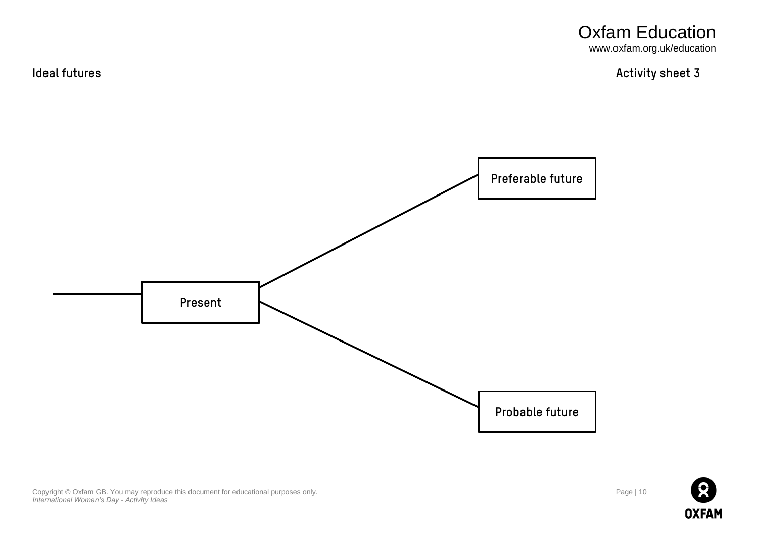Oxfam Education www.oxfam.org.uk/education